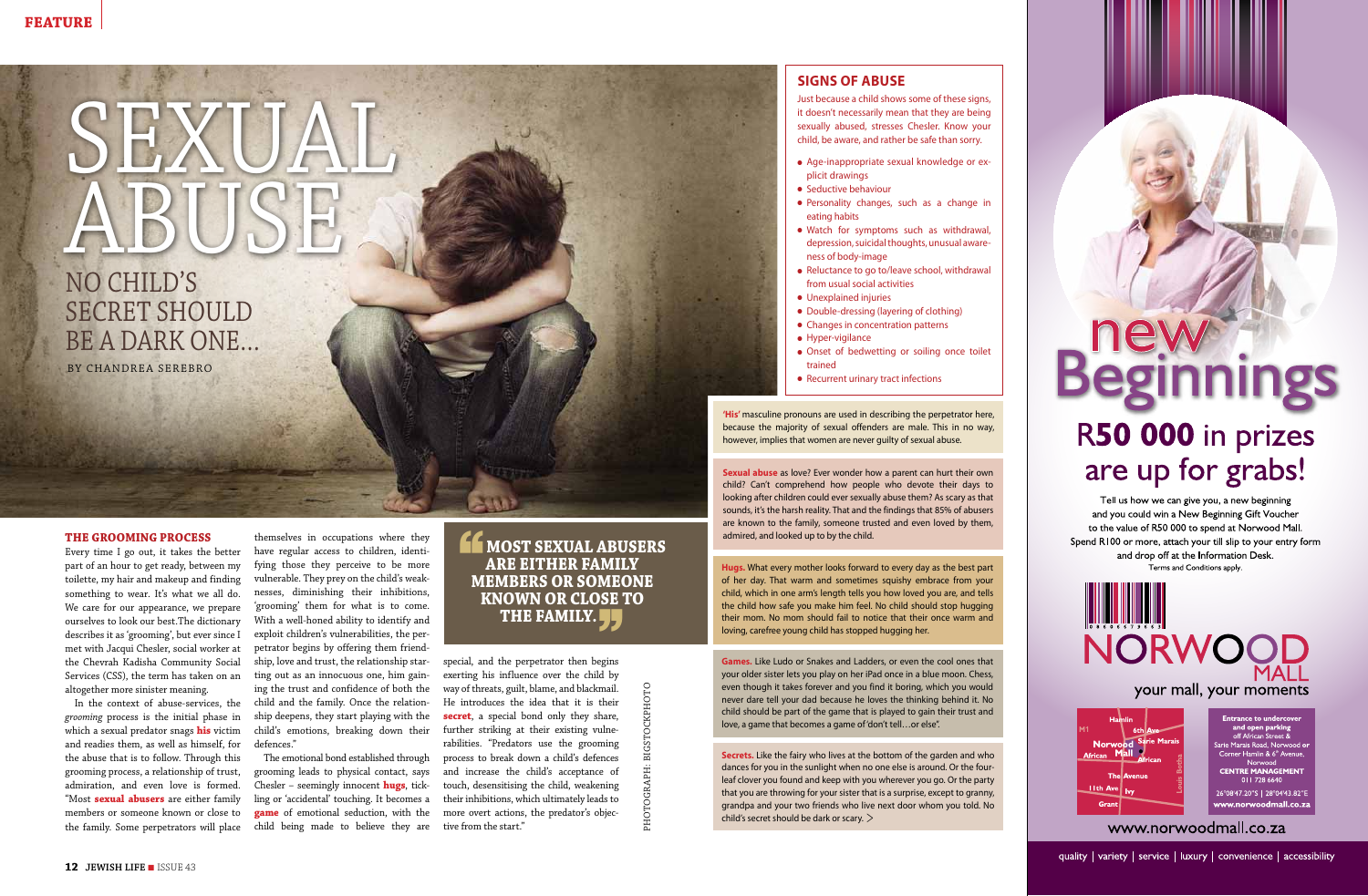**The grooming process**

Every time I go out, it takes the better part of an hour to get ready, between my toilette, my hair and makeup and finding something to wear. It's what we all do. We care for our appearance, we prepare ourselves to look our best.The dictionary describes it as 'grooming', but ever since I met with Jacqui Chesler, social worker at the Chevrah Kadisha Community Social Services (CSS), the term has taken on an altogether more sinister meaning.

In the context of abuse-services, the *grooming* process is the initial phase in which a sexual predator snags **his** victim and readies them, as well as himself, for the abuse that is to follow. Through this grooming process, a relationship of trust, admiration, and even love is formed. "Most **sexual abusers** are either family members or someone known or close to the family. Some perpetrators will place

themselves in occupations where they have regular access to children, identifying those they perceive to be more vulnerable. They prey on the child's weaknesses, diminishing their inhibitions, 'grooming' them for what is to come. With a well-honed ability to identify and exploit children's vulnerabilities, the perpetrator begins by offering them friendship, love and trust, the relationship starting out as an innocuous one, him gaining the trust and confidence of both the child and the family. Once the relationship deepens, they start playing with the child's emotions, breaking down their defences."

- Age-inappropriate sexual knowledge or explicit drawings
- **•** Seductive behaviour
- Personality changes, such as a change in eating habits
- Watch for symptoms such as withdrawal, depression, suicidal thoughts, unusual awareness of body-image
- Reluctance to go to/leave school, withdrawal from usual social activities
- **·** Unexplained injuries
- Double-dressing (layering of clothing)
- Changes in concentration patterns
- $\bullet$  Hyper-vigilance
- Onset of bedwetting or soiling once toilet trained

 $\overline{\phantom{a}}$ U. c.

• Recurrent urinary tract infections

The emotional bond established through grooming leads to physical contact, says Chesler – seemingly innocent **hugs**, tickling or 'accidental' touching. It becomes a **game** of emotional seduction, with the child being made to believe they are

#### **MOST SEXUAL ABUSERS**<br>
ARE EITHER FAMILY **are either family members or someone known or close to THE FAMILY.**

special, and the perpetrator then begins exerting his influence over the child by way of threats, guilt, blame, and blackmail. He introduces the idea that it is their **secret**, a special bond only they share, further striking at their existing vulnerabilities. "Predators use the grooming process to break down a child's defences and increase the child's acceptance of touch, desensitising the child, weakening their inhibitions, which ultimately leads to more overt actions, the predator's objective from the start."

#### **signs of abuse**

Just because a child shows some of these signs, it doesn't necessarily mean that they are being sexually abused, stresses Chesler. Know your child, be aware, and rather be safe than sorry.

## No child's SECRET SHOULD SEXUAL, ABUS

**Hugs.** What every mother looks forward to every day as the best part of her day. That warm and sometimes squishy embrace from your child, which in one arm's length tells you how loved you are, and tells the child how safe you make him feel. No child should stop hugging their mom. No mom should fail to notice that their once warm and loving, carefree young child has stopped hugging her.

**Games.** Like Ludo or Snakes and Ladders, or even the cool ones that your older sister lets you play on her iPad once in a blue moon. Chess, even though it takes forever and you find it boring, which you would never dare tell your dad because he loves the thinking behind it. No child should be part of the game that is played to gain their trust and love, a game that becomes a game of 'don't tell…or else".

**Secrets.** Like the fairy who lives at the bottom of the garden and who dances for you in the sunlight when no one else is around. Or the fourleaf clover you found and keep with you wherever you go. Or the party that you are throwing for your sister that is a surprise, except to granny, grandpa and your two friends who live next door whom you told. No child's secret should be dark or scary. >

# Beginnings R50 000 in prizes

### are up for grabs! Tell us how we can give you, a new beginning

and you could win a New Beginning Gift Voucher to the value of R50 000 to spend at Norwood Mall Spend R100 or more, attach your till slip to your entry form and drop off at the Information Desk. Terms and Conditions apply.

IIIIIIIIIIIIII NORWOO your mall, your moments

**Norwo** African Mall <mark>∐th Ave</mark> ∣<sub>Iv</sub> Grant

and open parking<br>off African Street & arie Marais Road, Norwood Corner Hamlin & 6<sup>th</sup> Avenue Norwood<br>**CENTRE MANAGEMENT**  $0117286640$ 

26°08'47.20"S | 28°04'43.82"E www.norwoodmall.co.za

www.norwoodmall.co.za

quality | variety | service | luxury | convenience | accessibility

**Sexual abuse** as love? Ever wonder how a parent can hurt their own child? Can't comprehend how people who devote their days to looking after children could ever sexually abuse them? As scary as that sounds, it's the harsh reality. That and the findings that 85% of abusers are known to the family, someone trusted and even loved by them, admired, and looked up to by the child.

**'His'** masculine pronouns are used in describing the perpetrator here, because the majority of sexual offenders are male. This in no way, however, implies that women are never guilty of sexual abuse.

photograph: bigstockphoto

**PHOTOGRA** 

be a dark one…

By Chandrea Serebro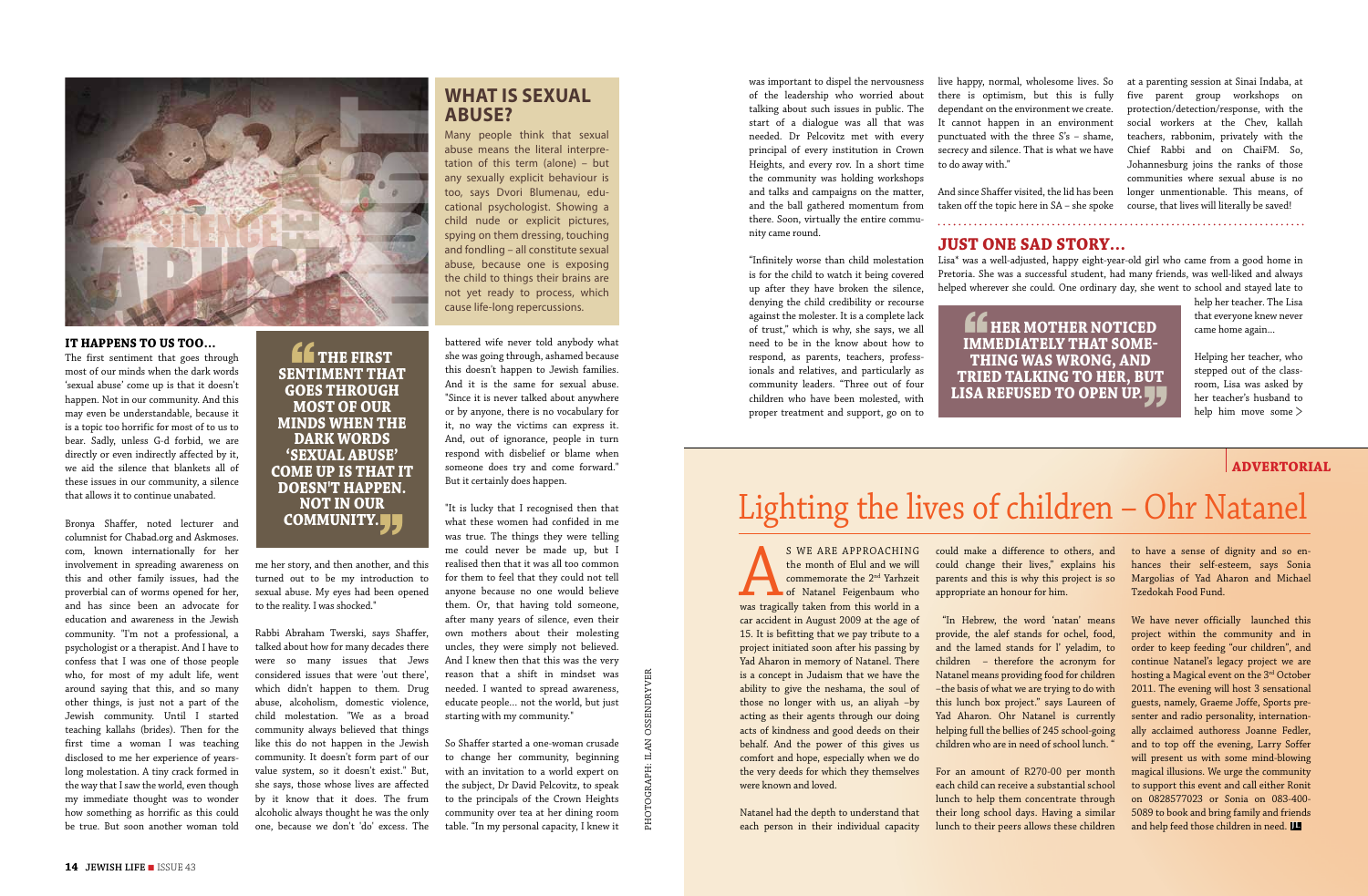S WE ARE APPROACHING<br>the month of Elul and we will<br>commemorate the 2<sup>nd</sup> Yarhzeit<br>of Natanel Feigenbaum who<br>was tragically taken from this world in a the month of Elul and we will commemorate the 2nd Yarhzeit of Natanel Feigenbaum who car accident in August 2009 at the age of 15. It is befitting that we pay tribute to a project initiated soon after his passing by Yad Aharon in memory of Natanel. There is a concept in Judaism that we have the ability to give the neshama, the soul of those no longer with us, an aliyah –by acting as their agents through our doing acts of kindness and good deeds on their behalf. And the power of this gives us comfort and hope, especially when we do the very deeds for which they themselves were known and loved.

Natanel had the depth to understand that each person in their individual capacity

could make a difference to others, and could change their lives," explains his parents and this is why this project is so appropriate an honour for him.

 "In Hebrew, the word 'natan' means provide, the alef stands for ochel, food, and the lamed stands for l' yeladim, to children – therefore the acronym for Natanel means providing food for children –the basis of what we are trying to do with this lunch box project." says Laureen of Yad Aharon. Ohr Natanel is currently helping full the bellies of 245 school-going children who are in need of school lunch. "

For an amount of R270-00 per month each child can receive a substantial school lunch to help them concentrate through their long school days. Having a similar lunch to their peers allows these children

to have a sense of dignity and so enhances their self-esteem, says Sonia Margolias of Yad Aharon and Michael Tzedokah Food Fund.

We have never officially launched this project within the community and in order to keep feeding "our children", and continue Natanel's legacy project we are hosting a Magical event on the 3rd October 2011. The evening will host 3 sensational guests, namely, Graeme Joffe, Sports presenter and radio personality, internationally acclaimed authoress Joanne Fedler, and to top off the evening, Larry Soffer will present us with some mind-blowing magical illusions. We urge the community to support this event and call either Ronit on 0828577023 or Sonia on 083-400- 5089 to book and bring family and friends and help feed those children in need. **JL**

#### **advertorial**

## Lighting the lives of children – Ohr Natanel

#### **It happens to us too…**

The first sentiment that goes through most of our minds when the dark words 'sexual abuse' come up is that it doesn't happen. Not in our community. And this may even be understandable, because it is a topic too horrific for most of to us to bear. Sadly, unless G-d forbid, we are directly or even indirectly affected by it, we aid the silence that blankets all of these issues in our community, a silence that allows it to continue unabated.

Bronya Shaffer, noted lecturer and columnist for Chabad.org and Askmoses. com, known internationally for her involvement in spreading awareness on this and other family issues, had the proverbial can of worms opened for her, and has since been an advocate for education and awareness in the Jewish community. "I'm not a professional, a psychologist or a therapist. And I have to confess that I was one of those people who, for most of my adult life, went around saying that this, and so many other things, is just not a part of the Jewish community. Until I started teaching kallahs (brides). Then for the first time a woman I was teaching disclosed to me her experience of yearslong molestation. A tiny crack formed in the way that I saw the world, even though my immediate thought was to wonder how something as horrific as this could be true. But soon another woman told

**Example 12 THE FIRST PROPERT THE SENTIMENT THAT goes through most of our minds when the dark words 'sexual abuse' COME UP IS THAT IT doesn't happen. NOT IN OUR** COMMUNITY. **J** 

me her story, and then another, and this turned out to be my introduction to sexual abuse. My eyes had been opened to the reality. I was shocked."

Rabbi Abraham Twerski, says Shaffer, talked about how for many decades there were so many issues that Jews considered issues that were 'out there', which didn't happen to them. Drug abuse, alcoholism, domestic violence, child molestation. "We as a broad community always believed that things like this do not happen in the Jewish community. It doesn't form part of our value system, so it doesn't exist." But, she says, those whose lives are affected by it know that it does. The frum alcoholic always thought he was the only one, because we don't 'do' excess. The

battered wife never told anybody what she was going through, ashamed because this doesn't happen to Jewish families. And it is the same for sexual abuse. "Since it is never talked about anywhere or by anyone, there is no vocabulary for it, no way the victims can express it. And, out of ignorance, people in turn respond with disbelief or blame when someone does try and come forward." But it certainly does happen.

"It is lucky that I recognised then that what these women had confided in me was true. The things they were telling me could never be made up, but I realised then that it was all too common for them to feel that they could not tell anyone because no one would believe them. Or, that having told someone, after many years of silence, even their own mothers about their molesting uncles, they were simply not believed. And I knew then that this was the very reason that a shift in mindset was needed. I wanted to spread awareness, educate people… not the world, but just starting with my community."

So Shaffer started a one-woman crusade to change her community, beginning with an invitation to a world expert on the subject, Dr David Pelcovitz, to speak to the principals of the Crown Heights community over tea at her dining room table. "In my personal capacity, I knew it was important to dispel the nervousness of the leadership who worried about talking about such issues in public. The start of a dialogue was all that was needed. Dr Pelcovitz met with every principal of every institution in Crown Heights, and every rov. In a short time the community was holding workshops and talks and campaigns on the matter, and the ball gathered momentum from there. Soon, virtually the entire community came round.

"Infinitely worse than child molestation is for the child to watch it being covered up after they have broken the silence, denying the child credibility or recourse against the molester. It is a complete lack of trust," which is why, she says, we all need to be in the know about how to respond, as parents, teachers, professionals and relatives, and particularly as community leaders. "Three out of four children who have been molested, with proper treatment and support, go on to



#### **What is sexual abuse?**

Many people think that sexual abuse means the literal interpretation of this term (alone) – but any sexually explicit behaviour is too, says Dvori Blumenau, educational psychologist. Showing a child nude or explicit pictures, spying on them dressing, touching and fondling – all constitute sexual abuse, because one is exposing the child to things their brains are not yet ready to process, which cause life-long repercussions.

#### **Just one sad story…**

Lisa\* was a well-adjusted, happy eight-year-old girl who came from a good home in Pretoria. She was a successful student, had many friends, was well-liked and always helped wherever she could. One ordinary day, she went to school and stayed late to

**Example HER MOTHER NOTICED**<br>IMMEDIATELY THAT SOME**immediately that something was wrong, and tried talking to her, but** LISA REFUSED TO OPEN UP. <mark>J.</mark> help her teacher. The Lisa that everyone knew never came home again...

live happy, normal, wholesome lives. So there is optimism, but this is fully dependant on the environment we create. It cannot happen in an environment punctuated with the three  $S's - shame$ , secrecy and silence. That is what we have to do away with."

And since Shaffer visited, the lid has been taken off the topic here in SA – she spoke

> Helping her teacher, who stepped out of the classroom, Lisa was asked by her teacher's husband to help him move some >

at a parenting session at Sinai Indaba, at five parent group workshops on protection/detection/response, with the social workers at the Chev, kallah teachers, rabbonim, privately with the Chief Rabbi and on ChaiFM. So, Johannesburg joins the ranks of those communities where sexual abuse is no longer unmentionable. This means, of course, that lives will literally be saved!